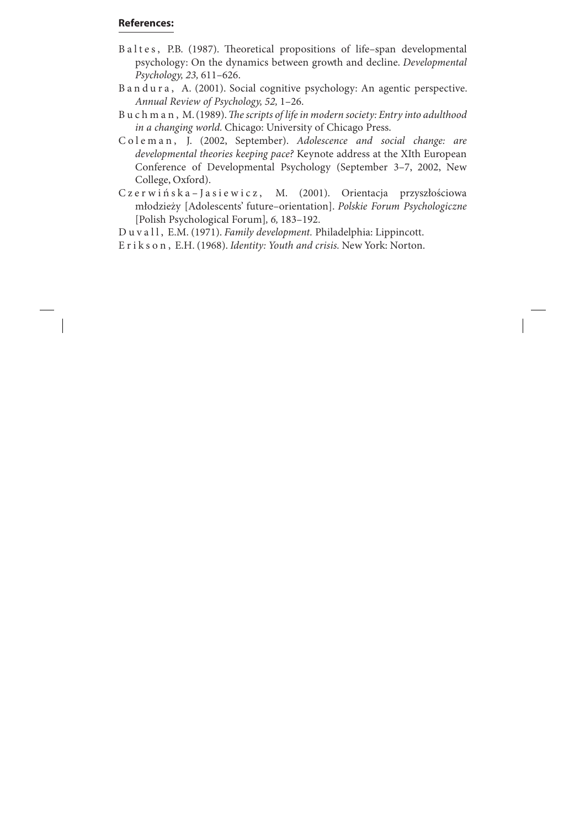## **References:**

- Baltes, P.B. (1987). Theoretical propositions of life–span developmental psychology: On the dynamics between growth and decline. *Developmental Psychology, 23,* 611–626.
- B a n d u r a , A. (2001). Social cognitive psychology: An agentic perspective. *Annual Review of Psychology, 52,* 1–26.
- B u c h m a n, M. (1989). *The scripts of life in modern society: Entry into adulthood in a changing world.* Chicago: University of Chicago Press.
- C o l e m a n , J. (2002, September). *Adolescence and social change: are developmental theories keeping pace?* Keynote address at the XIth European Conference of Developmental Psychology (September 3–7, 2002, New College, Oxford).
- Czerwińska-Jasiewicz, M. (2001). Orientacja przyszłościowa młodzieży [Adolescents' future–orientation]. *Polskie Forum Psychologiczne* [Polish Psychological Forum]*, 6,* 183–192.

D u v a l l , E.M. (1971). *Family development.* Philadelphia: Lippincott.

E r i k s o n , E.H. (1968). *Identity: Youth and crisis.* New York: Norton.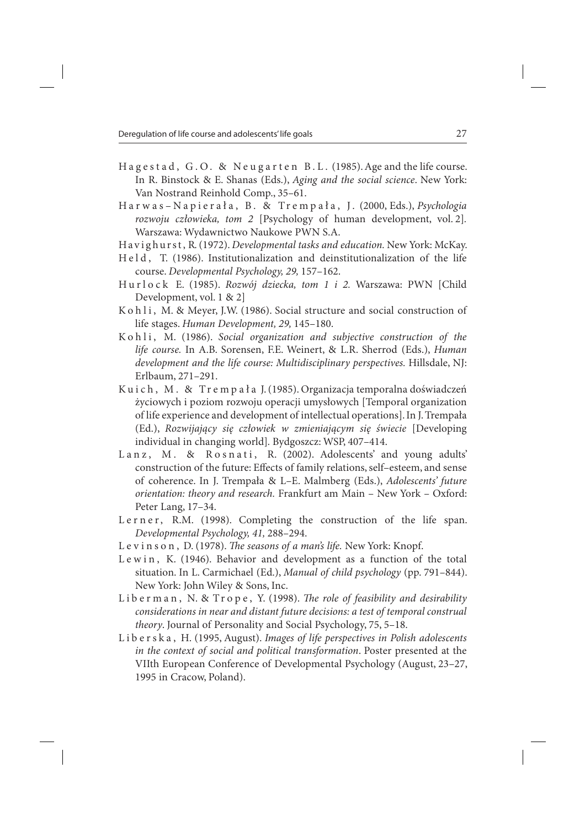- Hagestad, G.O. & Neugarten B.L. (1985). Age and the life course. In R. Binstock & E. Shanas (Eds.), *Aging and the social science*. New York: Van Nostrand Reinhold Comp., 35–61.
- Harwas–Napierała, B. & Trempała, J. (2000, Eds.), *Psychologia rozwoju człowieka, tom 2* [Psychology of human development, vol. 2]*.* Warszawa: Wydawnictwo Naukowe PWN S.A.
- Hav i g hu r s t , R. (1972). *Developmental tasks and education.* New York: McKay.
- H e l d , T. (1986). Institutionalization and deinstitutionalization of the life course. *Developmental Psychology, 29,* 157–162.
- H u r l o c k E. (1985). *Rozwój dziecka, tom 1 i 2.* Warszawa: PWN [Child Development, vol. 1 & 2]
- K o h l i, M. & Meyer, J.W. (1986). Social structure and social construction of life stages. *Human Development, 29,* 145–180.
- Kohli, M. (1986). Social organization and subjective construction of the *life course.* In A.B. Sorensen, F.E. Weinert, & L.R. Sherrod (Eds.), *Human development and the life course: Multidisciplinary perspectives.* Hillsdale, NJ: Erlbaum, 271–291.
- Kuich, M. & Trempała J. (1985). Organizacja temporalna doświadczeń życiowych i poziom rozwoju operacji umysłowych [Temporal organization of life experience and development of intellectual operations]. In J. Trempała (Ed.), *Rozwijający się człowiek w zmieniającym się świecie* [Developing individual in changing world]*.* Bydgoszcz: WSP, 407–414.
- Lanz, M. & Rosnati, R. (2002). Adolescents' and young adults' construction of the future: Effects of family relations, self–esteem, and sense of coherence. In J. Trempała & L–E. Malmberg (Eds.), *Adolescents' future orientation: theory and research.* Frankfurt am Main – New York – Oxford: Peter Lang, 17–34.
- Lerner, R.M. (1998). Completing the construction of the life span. *Developmental Psychology, 41,* 288–294.
- L e v i n s o n, D. (1978). *The seasons of a man's life*. New York: Knopf.
- Lewin, K. (1946). Behavior and development as a function of the total situation. In L. Carmichael (Ed.), *Manual of child psychology* (pp. 791–844). New York: John Wiley & Sons, Inc.
- Liberman, N. & Trope, Y. (1998). *The role of feasibility and desirability considerations in near and distant future decisions: a test of temporal construal theory*. Journal of Personality and Social Psychology, 75, 5–18.
- L i b e r s k a , H. (1995, August). *Images of life perspectives in Polish adolescents in the context of social and political transformation*. Poster presented at the VIIth European Conference of Developmental Psychology (August, 23–27, 1995 in Cracow, Poland).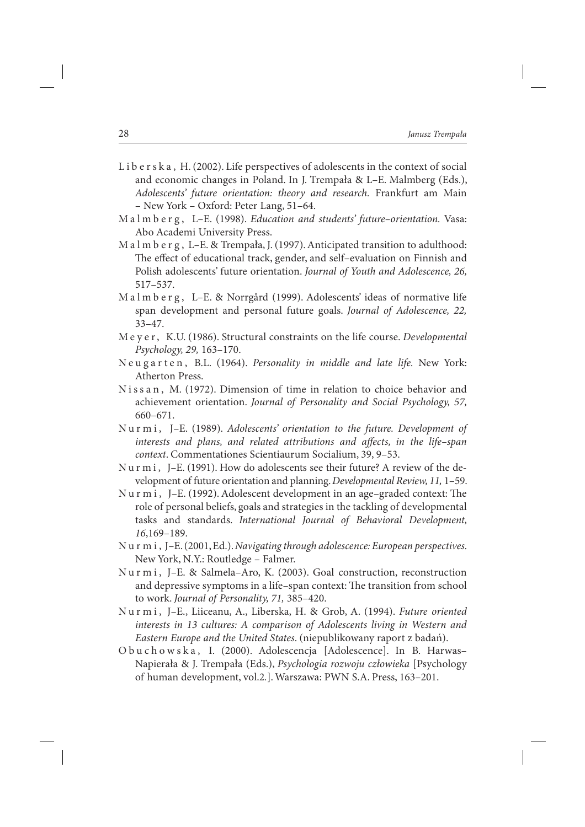- L i b e r s k a, H. (2002). Life perspectives of adolescents in the context of social and economic changes in Poland. In J. Trempała & L–E. Malmberg (Eds.), *Adolescents' future orientation: theory and research.* Frankfurt am Main – New York – Oxford: Peter Lang, 51–64.
- M a l m b e r g , L–E. (1998). *Education and students' future–orientation.* Vasa: Abo Academi University Press.
- M a l m b e r g , L–E. & Trempała, J. (1997). Anticipated transition to adulthood: The effect of educational track, gender, and self-evaluation on Finnish and Polish adolescents' future orientation. *Journal of Youth and Adolescence, 26,*  517–537.
- M a l m b e r g , L–E. & Norrgård (1999). Adolescents' ideas of normative life span development and personal future goals. *Journal of Adolescence, 22,* 33–47.
- M e y e r , K.U. (1986). Structural constraints on the life course. *Developmental Psychology, 29,* 163–170.
- N e u g a r t e n , B.L. (1964). *Personality in middle and late life.* New York: Atherton Press.
- Nissan, M. (1972). Dimension of time in relation to choice behavior and achievement orientation. *Journal of Personality and Social Psychology, 57,*  660–671.
- Nurmi, J-E. (1989). *Adolescents' orientation to the future. Development of interests and plans, and related attributions and affects, in the life–span context*. Commentationes Scientiaurum Socialium, 39, 9–53.
- N u r m i , J–E. (1991). How do adolescents see their future? A review of the development of future orientation and planning. *Developmental Review, 11,* 1–59.
- Nurmi, J-E. (1992). Adolescent development in an age-graded context: The role of personal beliefs, goals and strategies in the tackling of developmental tasks and standards. *International Journal of Behavioral Development, 16*,169–189.
- N u r m i , J–E. (2001, Ed.). *Navigating through adolescence: European perspectives.*  New York, N.Y.: Routledge – Falmer.
- Nurmi, J-E. & Salmela-Aro, K. (2003). Goal construction, reconstruction and depressive symptoms in a life–span context: The transition from school to work. *Journal of Personality, 71,* 385–420.
- N u r m i , J–E., Liiceanu, A., Liberska, H. & Grob, A. (1994). *Future oriented interests in 13 cultures: A comparison of Adolescents living in Western and Eastern Europe and the United States*. (niepublikowany raport z badań).
- O b u c h o w s k a , I. (2000). Adolescencja [Adolescence]. In B. Harwas– Napierała & J. Trempała (Eds.), *Psychologia rozwoju człowieka* [Psychology of human development, vol.2*.*]. Warszawa: PWN S.A. Press, 163–201.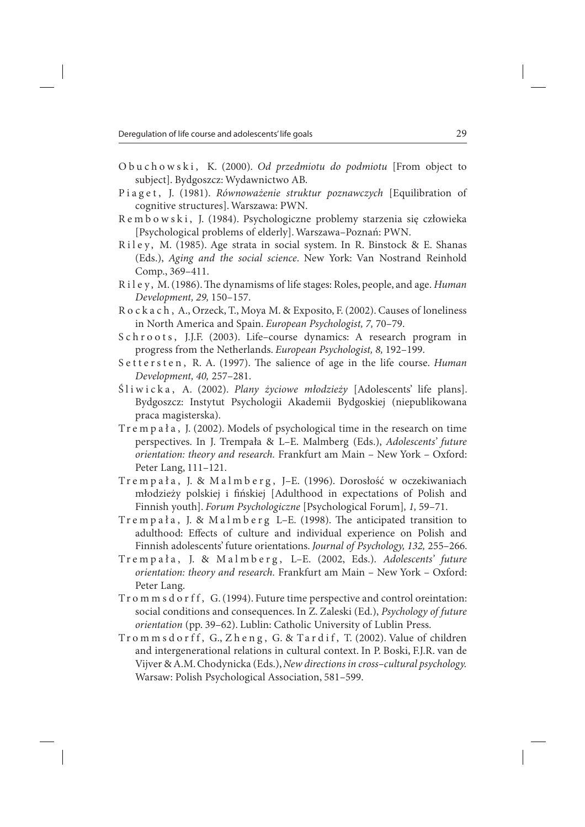- O b u c h o w s k i , K. (2000). *Od przedmiotu do podmiotu* [From object to subject]. Bydgoszcz: Wydawnictwo AB.
- P i a g e t , J. (1981). *Równoważenie struktur poznawczych* [Equilibration of cognitive structures]. Warszawa: PWN.
- R e m b o w s k i, J. (1984). Psychologiczne problemy starzenia się człowieka [Psychological problems of elderly]. Warszawa–Poznań: PWN.
- Riley, M. (1985). Age strata in social system. In R. Binstock & E. Shanas (Eds.), *Aging and the social science*. New York: Van Nostrand Reinhold Comp., 369–411.
- R i l e y, M. (1986). The dynamisms of life stages: Roles, people, and age. *Human Development, 29,* 150–157.
- R o c k a c h , A., Orzeck, T., Moya M. & Exposito, F. (2002). Causes of loneliness in North America and Spain. *European Psychologist, 7,* 70–79.
- Schroots, J.J.F. (2003). Life-course dynamics: A research program in progress from the Netherlands. *European Psychologist, 8,* 192–199.
- S ettersten, R. A. (1997). The salience of age in the life course. *Human Development, 40,* 257–281.
- Śliwicka, A. (2002). *Plany życiowe młodzieży* [Adolescents' life plans]. Bydgoszcz: Instytut Psychologii Akademii Bydgoskiej (niepublikowana praca magisterska).
- Tr e m p a ł a , J. (2002). Models of psychological time in the research on time perspectives. In J. Trempała & L–E. Malmberg (Eds.), *Adolescents' future orientation: theory and research.* Frankfurt am Main – New York – Oxford: Peter Lang, 111–121.
- Tr e m p a ł a , J. & M a l m b e r g , J–E. (1996). Dorosłość w oczekiwaniach młodzieży polskiej i fińskiej [Adulthood in expectations of Polish and Finnish youth]. *Forum Psychologiczne* [Psychological Forum]*, 1,* 59–71.
- Trempała, J. & Malmberg L-E. (1998). The anticipated transition to adulthood: Effects of culture and individual experience on Polish and Finnish adolescents' future orientations. *Journal of Psychology, 132,* 255–266.
- Tr e m p a ł a , J. & M a l m b e r g , L–E. (2002, Eds.). *Adolescents' future orientation: theory and research.* Frankfurt am Main – New York – Oxford: Peter Lang.
- Tr o m m s d o r f f, G. (1994). Future time perspective and control oreintation: social conditions and consequences. In Z. Zaleski (Ed.), *Psychology of future orientation* (pp. 39–62). Lublin: Catholic University of Lublin Press.
- Trommsdorff, G., Zheng, G. & Tardif, T. (2002). Value of children and intergenerational relations in cultural context. In P. Boski, F.J.R. van de Vijver & A.M. Chodynicka (Eds.), *New directions in cross–cultural psychology.* Warsaw: Polish Psychological Association, 581–599.